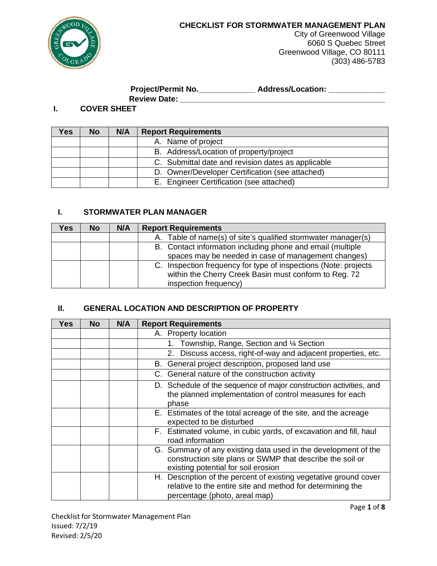

City of Greenwood Village 6060 S Quebec Street Greenwood Village, CO 80111 (303) 486-5783

# **Project/Permit No.\_\_\_\_\_\_\_\_\_\_\_\_\_ Address/Location: \_\_\_\_\_\_\_\_\_\_\_\_\_**

**Review Date: \_\_\_\_\_\_\_\_\_\_\_\_\_\_\_\_\_\_\_\_\_\_\_\_\_\_\_\_\_\_\_\_\_\_\_\_\_\_\_\_\_\_\_\_\_\_\_**

#### **I. COVER SHEET**

| Yes. | <b>No</b> | N/A | <b>Report Requirements</b>                         |
|------|-----------|-----|----------------------------------------------------|
|      |           |     | A. Name of project                                 |
|      |           |     | B. Address/Location of property/project            |
|      |           |     | C. Submittal date and revision dates as applicable |
|      |           |     | D. Owner/Developer Certification (see attached)    |
|      |           |     | E. Engineer Certification (see attached)           |

### **I. STORMWATER PLAN MANAGER**

| Yes | <b>No</b> | N/A | <b>Report Requirements</b>                                      |
|-----|-----------|-----|-----------------------------------------------------------------|
|     |           |     | A. Table of name(s) of site's qualified stormwater manager(s)   |
|     |           |     | B. Contact information including phone and email (multiple      |
|     |           |     | spaces may be needed in case of management changes)             |
|     |           |     | C. Inspection frequency for type of inspections (Note: projects |
|     |           |     | within the Cherry Creek Basin must conform to Reg. 72           |
|     |           |     | inspection frequency)                                           |

#### **II. GENERAL LOCATION AND DESCRIPTION OF PROPERTY**

| Yes | <b>No</b> | N/A | <b>Report Requirements</b>                                                                                                                                         |
|-----|-----------|-----|--------------------------------------------------------------------------------------------------------------------------------------------------------------------|
|     |           |     | A. Property location                                                                                                                                               |
|     |           |     | Township, Range, Section and 1/4 Section<br>1.                                                                                                                     |
|     |           |     | 2. Discuss access, right-of-way and adjacent properties, etc.                                                                                                      |
|     |           |     | B. General project description, proposed land use                                                                                                                  |
|     |           |     | C. General nature of the construction activity                                                                                                                     |
|     |           |     | D. Schedule of the sequence of major construction activities, and<br>the planned implementation of control measures for each<br>phase                              |
|     |           |     | E. Estimates of the total acreage of the site, and the acreage<br>expected to be disturbed                                                                         |
|     |           |     | F. Estimated volume, in cubic yards, of excavation and fill, haul<br>road information                                                                              |
|     |           |     | G. Summary of any existing data used in the development of the<br>construction site plans or SWMP that describe the soil or<br>existing potential for soil erosion |
|     |           |     | H. Description of the percent of existing vegetative ground cover<br>relative to the entire site and method for determining the<br>percentage (photo, areal map)   |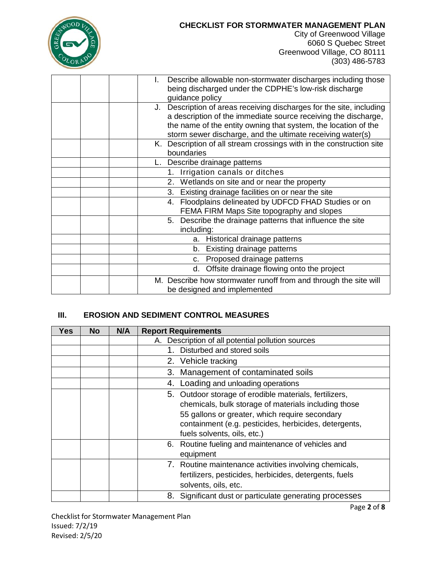| $OD_L$           |  |
|------------------|--|
|                  |  |
|                  |  |
| $\overline{COR}$ |  |

City of Greenwood Village 6060 S Quebec Street Greenwood Village, CO 80111 (303) 486-5783

|  | Describe allowable non-stormwater discharges including those         |
|--|----------------------------------------------------------------------|
|  | being discharged under the CDPHE's low-risk discharge                |
|  | guidance policy                                                      |
|  | J. Description of areas receiving discharges for the site, including |
|  | a description of the immediate source receiving the discharge,       |
|  | the name of the entity owning that system, the location of the       |
|  | storm sewer discharge, and the ultimate receiving water(s)           |
|  | K. Description of all stream crossings with in the construction site |
|  | boundaries                                                           |
|  | L. Describe drainage patterns                                        |
|  | Irrigation canals or ditches<br>1.                                   |
|  | 2. Wetlands on site and or near the property                         |
|  | Existing drainage facilities on or near the site<br>3.               |
|  | 4. Floodplains delineated by UDFCD FHAD Studies or on                |
|  | FEMA FIRM Maps Site topography and slopes                            |
|  | 5. Describe the drainage patterns that influence the site            |
|  | including:                                                           |
|  | a. Historical drainage patterns                                      |
|  | Existing drainage patterns<br>b.                                     |
|  | Proposed drainage patterns<br>C.                                     |
|  | Offsite drainage flowing onto the project<br>d.                      |
|  | M. Describe how stormwater runoff from and through the site will     |
|  | be designed and implemented                                          |

### **III. EROSION AND SEDIMENT CONTROL MEASURES**

| Yes | <b>No</b> | N/A | <b>Report Requirements</b>                                                                                                                                                                                                                                                                                                  |
|-----|-----------|-----|-----------------------------------------------------------------------------------------------------------------------------------------------------------------------------------------------------------------------------------------------------------------------------------------------------------------------------|
|     |           |     | A. Description of all potential pollution sources                                                                                                                                                                                                                                                                           |
|     |           |     | Disturbed and stored soils                                                                                                                                                                                                                                                                                                  |
|     |           |     | 2. Vehicle tracking                                                                                                                                                                                                                                                                                                         |
|     |           |     | 3. Management of contaminated soils                                                                                                                                                                                                                                                                                         |
|     |           |     | Loading and unloading operations<br>4.                                                                                                                                                                                                                                                                                      |
|     |           |     | 5. Outdoor storage of erodible materials, fertilizers,<br>chemicals, bulk storage of materials including those<br>55 gallons or greater, which require secondary<br>containment (e.g. pesticides, herbicides, detergents,<br>fuels solvents, oils, etc.)<br>6. Routine fueling and maintenance of vehicles and<br>equipment |
|     |           |     | 7. Routine maintenance activities involving chemicals,<br>fertilizers, pesticides, herbicides, detergents, fuels<br>solvents, oils, etc.                                                                                                                                                                                    |
|     |           |     | 8. Significant dust or particulate generating processes                                                                                                                                                                                                                                                                     |

Checklist for Stormwater Management Plan Issued: 7/2/19 Revised: 2/5/20

Page **2** of **8**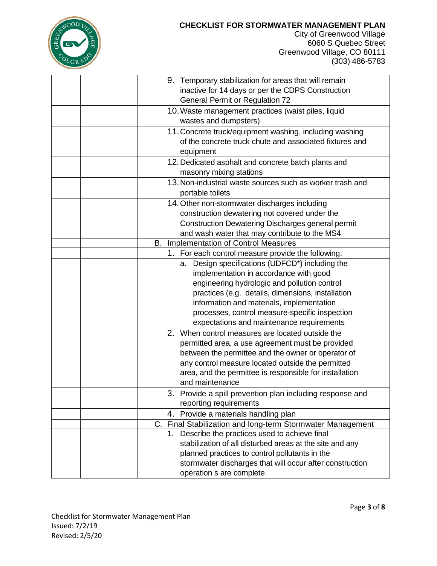

City of Greenwood Village 6060 S Quebec Street Greenwood Village, CO 80111 (303) 486-5783

|  | 9. Temporary stabilization for areas that will remain      |
|--|------------------------------------------------------------|
|  | inactive for 14 days or per the CDPS Construction          |
|  | <b>General Permit or Regulation 72</b>                     |
|  | 10. Waste management practices (waist piles, liquid        |
|  | wastes and dumpsters)                                      |
|  | 11. Concrete truck/equipment washing, including washing    |
|  | of the concrete truck chute and associated fixtures and    |
|  | equipment                                                  |
|  | 12. Dedicated asphalt and concrete batch plants and        |
|  | masonry mixing stations                                    |
|  | 13. Non-industrial waste sources such as worker trash and  |
|  | portable toilets                                           |
|  | 14. Other non-stormwater discharges including              |
|  | construction dewatering not covered under the              |
|  | Construction Dewatering Discharges general permit          |
|  | and wash water that may contribute to the MS4              |
|  | B. Implementation of Control Measures                      |
|  | 1. For each control measure provide the following:         |
|  | a. Design specifications (UDFCD*) including the            |
|  | implementation in accordance with good                     |
|  | engineering hydrologic and pollution control               |
|  | practices (e.g. details, dimensions, installation          |
|  | information and materials, implementation                  |
|  | processes, control measure-specific inspection             |
|  | expectations and maintenance requirements                  |
|  | 2. When control measures are located outside the           |
|  | permitted area, a use agreement must be provided           |
|  | between the permittee and the owner or operator of         |
|  | any control measure located outside the permitted          |
|  | area, and the permittee is responsible for installation    |
|  | and maintenance                                            |
|  | 3. Provide a spill prevention plan including response and  |
|  | reporting requirements                                     |
|  | 4. Provide a materials handling plan                       |
|  | C. Final Stabilization and long-term Stormwater Management |
|  | 1. Describe the practices used to achieve final            |
|  | stabilization of all disturbed areas at the site and any   |
|  | planned practices to control pollutants in the             |
|  | stormwater discharges that will occur after construction   |
|  | operation s are complete.                                  |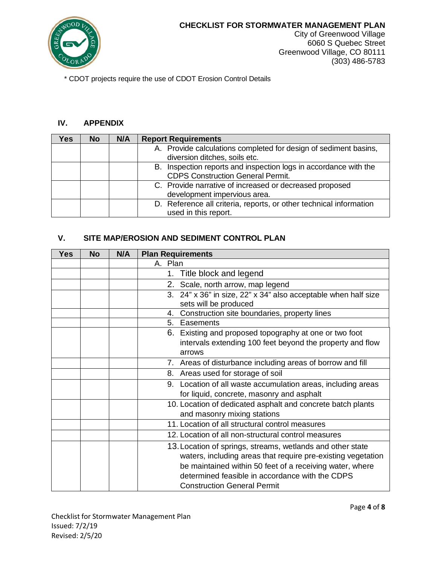

City of Greenwood Village 6060 S Quebec Street Greenwood Village, CO 80111 (303) 486-5783

\* CDOT projects require the use of CDOT Erosion Control Details

#### **IV. APPENDIX**

| Yes. | <b>No</b> | N/A | <b>Report Requirements</b>                                         |
|------|-----------|-----|--------------------------------------------------------------------|
|      |           |     | A. Provide calculations completed for design of sediment basins,   |
|      |           |     | diversion ditches, soils etc.                                      |
|      |           |     | B. Inspection reports and inspection logs in accordance with the   |
|      |           |     | <b>CDPS Construction General Permit.</b>                           |
|      |           |     | C. Provide narrative of increased or decreased proposed            |
|      |           |     | development impervious area.                                       |
|      |           |     | D. Reference all criteria, reports, or other technical information |
|      |           |     | used in this report.                                               |

#### **V. SITE MAP/EROSION AND SEDIMENT CONTROL PLAN**

| <b>Yes</b> | No | N/A | <b>Plan Requirements</b>                                                                                                                                                                                                                  |
|------------|----|-----|-------------------------------------------------------------------------------------------------------------------------------------------------------------------------------------------------------------------------------------------|
|            |    |     | A. Plan                                                                                                                                                                                                                                   |
|            |    |     | 1. Title block and legend                                                                                                                                                                                                                 |
|            |    |     | 2. Scale, north arrow, map legend                                                                                                                                                                                                         |
|            |    |     | 3. 24" x 36" in size, 22" x 34" also acceptable when half size<br>sets will be produced                                                                                                                                                   |
|            |    |     | Construction site boundaries, property lines<br>4.                                                                                                                                                                                        |
|            |    |     | 5. Easements                                                                                                                                                                                                                              |
|            |    |     | 6. Existing and proposed topography at one or two foot                                                                                                                                                                                    |
|            |    |     | intervals extending 100 feet beyond the property and flow                                                                                                                                                                                 |
|            |    |     | arrows                                                                                                                                                                                                                                    |
|            |    |     | 7. Areas of disturbance including areas of borrow and fill                                                                                                                                                                                |
|            |    |     | 8. Areas used for storage of soil                                                                                                                                                                                                         |
|            |    |     | 9. Location of all waste accumulation areas, including areas                                                                                                                                                                              |
|            |    |     | for liquid, concrete, masonry and asphalt                                                                                                                                                                                                 |
|            |    |     | 10. Location of dedicated asphalt and concrete batch plants                                                                                                                                                                               |
|            |    |     | and masonry mixing stations                                                                                                                                                                                                               |
|            |    |     | 11. Location of all structural control measures                                                                                                                                                                                           |
|            |    |     | 12. Location of all non-structural control measures                                                                                                                                                                                       |
|            |    |     | 13. Location of springs, streams, wetlands and other state<br>waters, including areas that require pre-existing vegetation<br>be maintained within 50 feet of a receiving water, where<br>determined feasible in accordance with the CDPS |
|            |    |     | <b>Construction General Permit</b>                                                                                                                                                                                                        |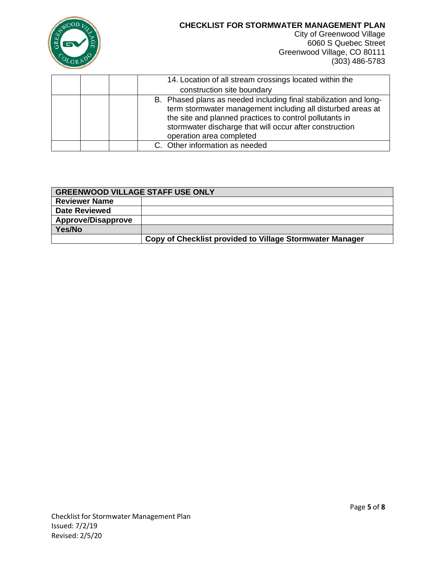

City of Greenwood Village 6060 S Quebec Street Greenwood Village, CO 80111 (303) 486-5783

|  | 14. Location of all stream crossings located within the<br>construction site boundary                                                                                                                                                                                              |
|--|------------------------------------------------------------------------------------------------------------------------------------------------------------------------------------------------------------------------------------------------------------------------------------|
|  | B. Phased plans as needed including final stabilization and long-<br>term stormwater management including all disturbed areas at<br>the site and planned practices to control pollutants in<br>stormwater discharge that will occur after construction<br>operation area completed |
|  | C. Other information as needed                                                                                                                                                                                                                                                     |

| <b>GREENWOOD VILLAGE STAFF USE ONLY</b> |                                                          |  |  |
|-----------------------------------------|----------------------------------------------------------|--|--|
| <b>Reviewer Name</b>                    |                                                          |  |  |
| <b>Date Reviewed</b>                    |                                                          |  |  |
| <b>Approve/Disapprove</b>               |                                                          |  |  |
| Yes/No                                  |                                                          |  |  |
|                                         | Copy of Checklist provided to Village Stormwater Manager |  |  |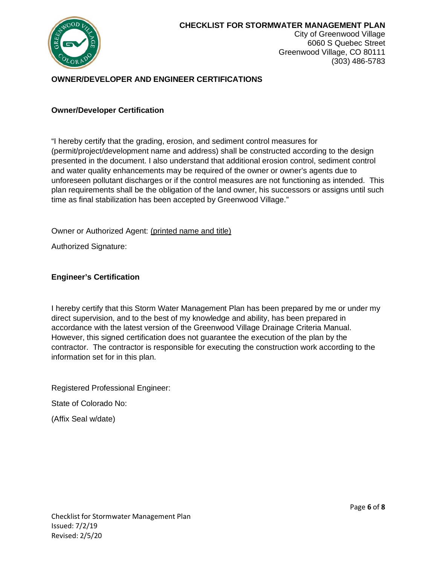

City of Greenwood Village 6060 S Quebec Street Greenwood Village, CO 80111 (303) 486-5783

# **OWNER/DEVELOPER AND ENGINEER CERTIFICATIONS**

#### **Owner/Developer Certification**

"I hereby certify that the grading, erosion, and sediment control measures for (permit/project/development name and address) shall be constructed according to the design presented in the document. I also understand that additional erosion control, sediment control and water quality enhancements may be required of the owner or owner's agents due to unforeseen pollutant discharges or if the control measures are not functioning as intended. This plan requirements shall be the obligation of the land owner, his successors or assigns until such time as final stabilization has been accepted by Greenwood Village."

Owner or Authorized Agent: (printed name and title)

Authorized Signature:

#### **Engineer's Certification**

I hereby certify that this Storm Water Management Plan has been prepared by me or under my direct supervision, and to the best of my knowledge and ability, has been prepared in accordance with the latest version of the Greenwood Village Drainage Criteria Manual. However, this signed certification does not guarantee the execution of the plan by the contractor. The contractor is responsible for executing the construction work according to the information set for in this plan.

Registered Professional Engineer:

State of Colorado No:

(Affix Seal w/date)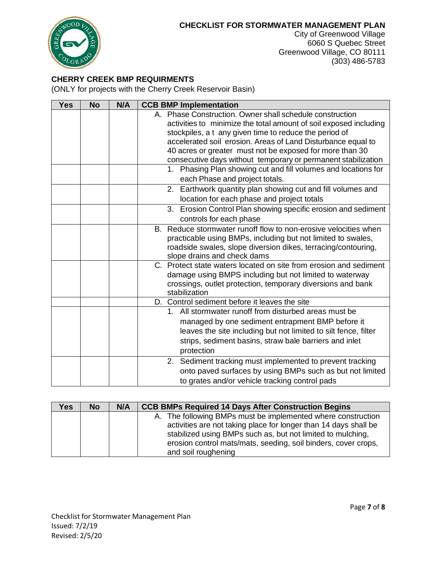

City of Greenwood Village 6060 S Quebec Street Greenwood Village, CO 80111 (303) 486-5783

## **CHERRY CREEK BMP REQUIRMENTS**

(ONLY for projects with the Cherry Creek Reservoir Basin)

| <b>Yes</b> | <b>No</b> | N/A | <b>CCB BMP Implementation</b>                                              |
|------------|-----------|-----|----------------------------------------------------------------------------|
|            |           |     | A. Phase Construction. Owner shall schedule construction                   |
|            |           |     | activities to minimize the total amount of soil exposed including          |
|            |           |     | stockpiles, a t any given time to reduce the period of                     |
|            |           |     | accelerated soil erosion. Areas of Land Disturbance equal to               |
|            |           |     | 40 acres or greater must not be exposed for more than 30                   |
|            |           |     | consecutive days without temporary or permanent stabilization              |
|            |           |     | Phasing Plan showing cut and fill volumes and locations for<br>$1_{\cdot}$ |
|            |           |     | each Phase and project totals.                                             |
|            |           |     | 2. Earthwork quantity plan showing cut and fill volumes and                |
|            |           |     | location for each phase and project totals                                 |
|            |           |     | Erosion Control Plan showing specific erosion and sediment<br>3.           |
|            |           |     | controls for each phase                                                    |
|            |           |     | B. Reduce stormwater runoff flow to non-erosive velocities when            |
|            |           |     | practicable using BMPs, including but not limited to swales,               |
|            |           |     | roadside swales, slope diversion dikes, terracing/contouring,              |
|            |           |     | slope drains and check dams                                                |
|            |           |     | C. Protect state waters located on site from erosion and sediment          |
|            |           |     | damage using BMPS including but not limited to waterway                    |
|            |           |     | crossings, outlet protection, temporary diversions and bank                |
|            |           |     | stabilization                                                              |
|            |           |     | D. Control sediment before it leaves the site                              |
|            |           |     | 1. All stormwater runoff from disturbed areas must be                      |
|            |           |     | managed by one sediment entrapment BMP before it                           |
|            |           |     | leaves the site including but not limited to silt fence, filter            |
|            |           |     | strips, sediment basins, straw bale barriers and inlet                     |
|            |           |     | protection                                                                 |
|            |           |     | 2. Sediment tracking must implemented to prevent tracking                  |
|            |           |     | onto paved surfaces by using BMPs such as but not limited                  |
|            |           |     | to grates and/or vehicle tracking control pads                             |

| <b>Yes</b> | <b>No</b> | N/A | <b>CCB BMPs Required 14 Days After Construction Begins</b>                                                                                                                                      |
|------------|-----------|-----|-------------------------------------------------------------------------------------------------------------------------------------------------------------------------------------------------|
|            |           |     | A. The following BMPs must be implemented where construction<br>activities are not taking place for longer than 14 days shall be<br>stabilized using BMPs such as, but not limited to mulching, |
|            |           |     | erosion control mats/mats, seeding, soil binders, cover crops,<br>and soil roughening                                                                                                           |